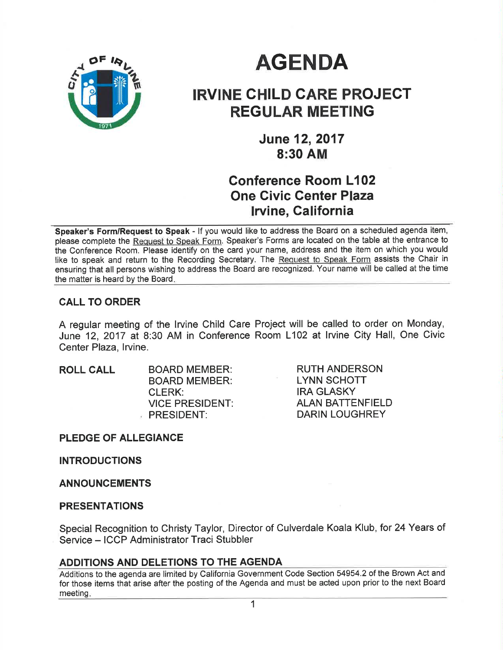

# **AGENDA**

# IRVINE GHILD CARE PROJEGT REGULAR MEETING

June 12,2017 8:30 AM

## Conference Room L102 One Civic Center Plaza **Irvine, California**

Speaker's Form/Request to Speak - If you would like to address the Board on a scheduled agenda item, please complete the Request to Speak Form. Speaker's Forms are located on the table at the entrance to the Conference Room. Please identify on the card your name, address and the item on which you would like to speak and return to the Recording Secretary. The Request to Speak Form assists the Chair in ensuring that all persons wishing to address the Board are recognized. Your name will be called at the time the matter is heard by the Board

### CALL TO ORDER

A regular meeting of the lrvine Child Care Project will be called to order on Monday, June 12, 2017 at 8:30 AM in Conference Room L102 at lrvine City Hall, One Civic Center Plaza, Irvine.

ROLL CALL BOARD MEMBER: BOARD MEMBER: CLERK: VICE PRESIDENT: PRESIDENT:

RUTH ANDERSON LYNN SCHOTT IRA GLASKY ALAN BATTENFIELD DARIN LOUGHREY

PLEDGE OF ALLEGIANCE

INTRODUCTIONS

### ANNOUNCEMENTS

### PRESENTATIONS

Special Recognition to Christy Taylor, Director of Culverdale Koala Klub, for 24 Years of Service - ICCP Administrator Traci Stubbler

### ADDITIONS AND DELETIONS TO THE AGENDA

Additions to the agenda are limited by California Government Code Section 54954.2 of the Brown Act and for those items that arise after the posting of the Agenda and must be acted upon prior to the next Board meeting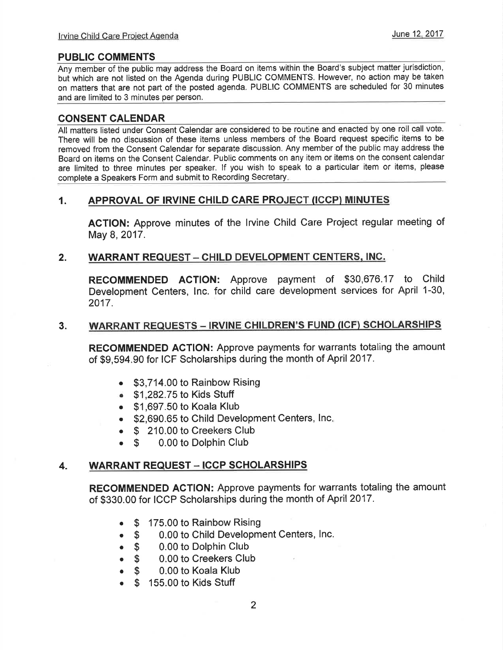### PUBLIC COMMENTS

Any member of the public may address the Board on items within the Board's subject matter jurisdiction, but which are not listed on the Agenda during PUBLIC COMMENTS. However, no action may be taken on matters that are not part of the posted agenda. PUBLIC COMMENTS are scheduled for 30 minutes and are limited to 3 minutes per person.

### CONSENT CALENDAR

All matters listed under Consent Calendar are considered to be routine and enacted by one roll call vote. There will be no discussion of these items unless members of the Board request specific items to be removed from the Consent Calendar for separate discussion. Any member of the public may address the Board on items on the Consent Calendar. Public comments on any item or items on the consent calendar are limited to three minutes per speaker. lf you wish to speak to a particular item or items, please complete a Speakers Form and submit to Recording Secretary

### 1. APPROVAL OF IRVINE CHILD CARE PROJECT (ICCPì MINUTES

ACTION: Approve minutes of the lrvine Child Care Project regular meeting of May 8, 2017.

### 2. WARRANT REQUEST - CHILD DEVELOPMENT CENTERS, INC.

RECOMMENDED ACTION: Approve payment of \$30,676.17 to Child Development Centers, lnc. for child care development services for April 1-30, 2017.

#### WARRANT REQUESTS - IRVINE CHILDREN'S FUND (ICF) SCHOLARSHIPS 3.

RECOMMENDED AGTION: Approve payments for warrants totaling the amount of \$9,594.90 for ICF Scholarships during the month of April 2017.

- \$3,714.00 to Rainbow Rising
- . \$1 ,282.75 to Kids Stuff
- . \$1,697.50 to Koala Klub
- \$2,690.65 to Child Development Centers, Inc.
- 
- \$ 210.00 to Creekers Club<br>● \$ 0.00 to Dolphin Club 0.00 to Dolphin Club

### 4. WARRANT REQUEST - ICCP SCHOLARSHIPS

RECOMMENDED AGTION: Approve payments for warrants totaling the amount of \$330.00 for ICCP Scholarships during the month of April 2017.

- $\bullet$  \$ 175.00 to Rainbow Rising
- $\bullet$  S 0.00 to Child Development Centers, lnc.
- $\bullet$  S 0.00 to Dolphin Club
- $\bullet$  S 0.00 to Creekers Club
- $\bullet$  S 0.00 to Koala Klub
- $\bullet$  \$ 155.00 to Kids Stuff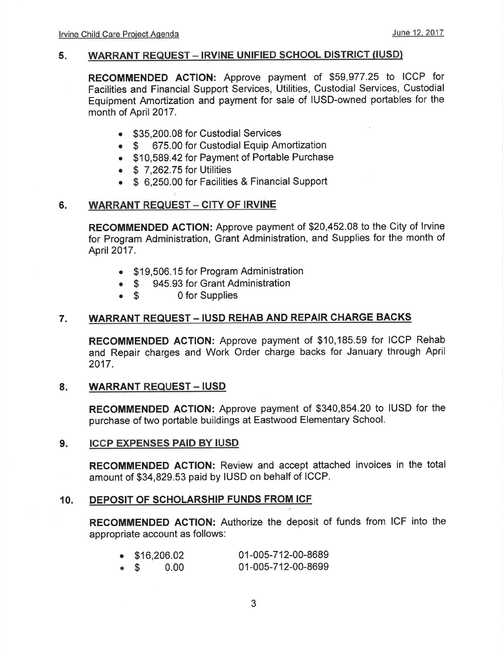#### 5 WARRANT REQUEST - IRVINE UNIFIED SCHOOL DISTRICT (IUSD)

RECOMMENDED AGTION: Approve payment of \$59,977.25 to ICCP for Facilities and Financial Support Services, Utilities, Custodial Services, Custodial Equipment Amortization and payment for sale of IUSD-owned portables for the month of April 2017.

- \$35,200.08 for Custodial Services
- \$ 675.00 for Custodial Equip Amortization
- . \$10,589.42 for Payment of Portable Purchase
- $\bullet$  \$ 7,262.75 for Utilities
- o \$ 6,250.00 for Facilities & Financial Support

### 6. WARRANT REQUEST - CITY OF IRVINE

RECOMMENDED AGTION: Approve payment of \$20,452.08 to the City of lrvine for Program Administration, Grant Administration, and Supplies for the month of April 2017.

- . \$19,506.15 for Program Administration
- \$ 945.93 for Grant Administration<br>• \$ 0 for Supplies
- 0 for Supplies

### 7. WARRANT REQUEST - IUSD REHAB AND REPAIR CHARGE BACKS

RECOMMENDED AGTION: Approve payment of \$10,185.59 for ICCP Rehab and Repair charges and Work Order charge backs for January through April 2017.

### 8. WARRANT REQUEST - IUSD

RECOMMENDED AGTION: Approve payment of \$340,854.20 to IUSD for the purchase of two portable buildings at Eastwood Elementary School.

#### ICCP EXPENSES PAID BY IUSD 9.

RECOMMENDED ACTION: Review and accept attached invoices in the total amount of \$34,829.53 paid by IUSD on behalf of ICCP.

### 10. DEPOSIT OF SCHOLARSHIP FUNDS FROM ICF

RECOMMENDED AGTION: Authorize the deposit of funds from ICF into the appropriate account as follows:

|             | $\bullet$ \$16,206.02 |      | 01-005-712-00-8689 |
|-------------|-----------------------|------|--------------------|
| $\bullet$ S |                       | 0.00 | 01-005-712-00-8699 |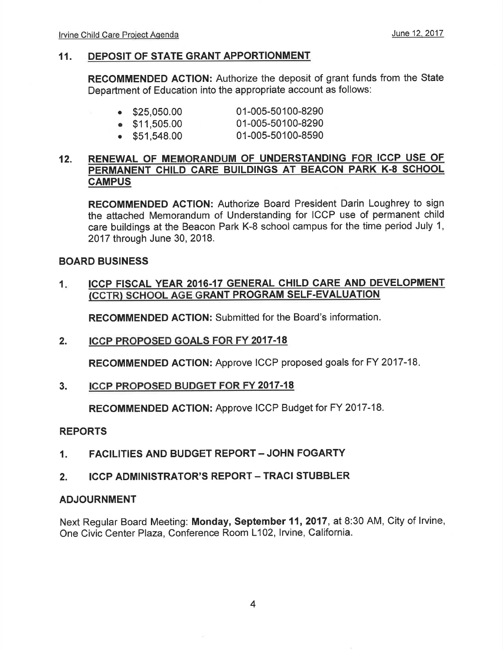### 11. DEPOSIT OF STATE GRANT APPORTIONMENT

RECOMMENDED ACTION: Authorize the deposit of grant funds from the State Department of Education into the appropriate account as follows:

| $\bullet$ \$25,050.00 | 01-005-50100-8290                        |
|-----------------------|------------------------------------------|
| $\bullet$ \$11,505.00 | 01-005-50100-8290<br>A ! AAF FA !AA AFAA |

. \$51,548.00 01-005-50100-8590

### 12. RENEWAL OF MEMORANDUM OF UNDERSTANDING FOR ICCP USE OF PERMANENT CHILD CARE BUILDINGS AT BEACON PARK K-8 SCHOOL **CAMPUS**

RECOMMENDED AGTION: Authorize Board President Darin Loughrey to sign the attached Memorandum of Understanding for ICCP use of permanent child care buildings at the Beacon Park K-8 school campus for the time period July 1, 2017 through June 30, 2018.

### BOARD BUSINESS

#### 1 ICCP FISCAL YEAR 2016.17 GENERAL CHILD CARE AND DEVELOPMENT ÍCCTR) SCHOOL AGE GRANT PROGRAM SELF-EVALUATION

RECOMMENDED ACTION: Submitted for the Board's information.

2. ICCP PROPOSED GOALS FOR FY 2OI7-I8

RECOMMENDED ACTION: Approve ICCP proposed goals for FY 2017-18

3. ICCP PROPOSED BUDGET FOR FY 2017.18

RECOMMENDED ACTION: Approve ICCP Budget for FY 2017-18.

### REPORTS

- 1. FACILITIES AND BUDGET REPORT JOHN FOGARTY
- 2. ICCP ADMINISTRATOR'S REPORT TRACI STUBBLER

### ADJOURNMENT

Next Regular Board Meeting: Monday, September 11,2017, at 8:30 AM, City of lrvine, One Civic Center Plaza, Conference Room L102, lrvine, California.